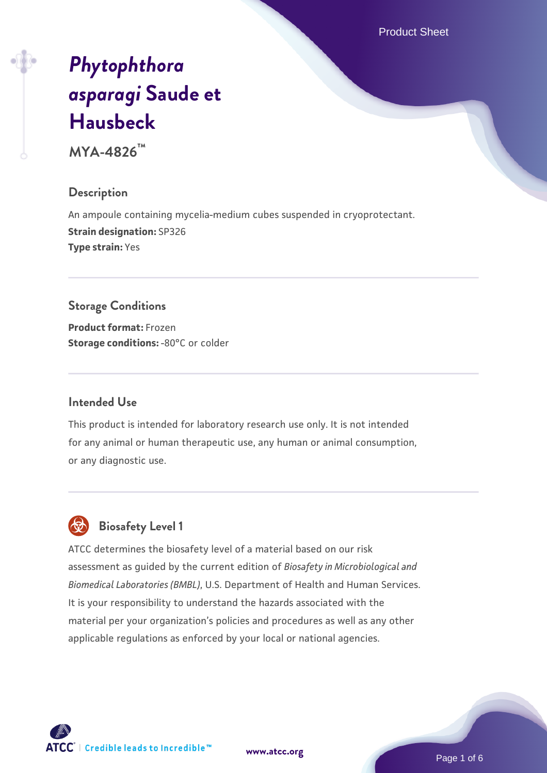Product Sheet

# *[Phytophthora](https://www.atcc.org/products/mya-4826) [asparagi](https://www.atcc.org/products/mya-4826)* **[Saude et](https://www.atcc.org/products/mya-4826) [Hausbeck](https://www.atcc.org/products/mya-4826)**

**MYA-4826™**

#### **Description**

An ampoule containing mycelia-medium cubes suspended in cryoprotectant. **Strain designation:** SP326 **Type strain:** Yes

#### **Storage Conditions**

**Product format:** Frozen **Storage conditions: -80°C or colder** 

#### **Intended Use**

This product is intended for laboratory research use only. It is not intended for any animal or human therapeutic use, any human or animal consumption, or any diagnostic use.

# **Biosafety Level 1**

ATCC determines the biosafety level of a material based on our risk assessment as guided by the current edition of *Biosafety in Microbiological and Biomedical Laboratories (BMBL)*, U.S. Department of Health and Human Services. It is your responsibility to understand the hazards associated with the material per your organization's policies and procedures as well as any other applicable regulations as enforced by your local or national agencies.

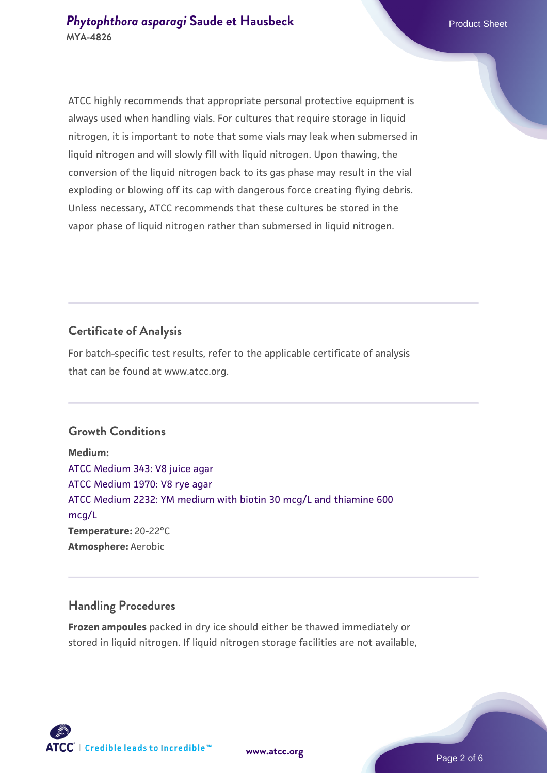ATCC highly recommends that appropriate personal protective equipment is always used when handling vials. For cultures that require storage in liquid nitrogen, it is important to note that some vials may leak when submersed in liquid nitrogen and will slowly fill with liquid nitrogen. Upon thawing, the conversion of the liquid nitrogen back to its gas phase may result in the vial exploding or blowing off its cap with dangerous force creating flying debris. Unless necessary, ATCC recommends that these cultures be stored in the vapor phase of liquid nitrogen rather than submersed in liquid nitrogen.

# **Certificate of Analysis**

For batch-specific test results, refer to the applicable certificate of analysis that can be found at www.atcc.org.

#### **Growth Conditions**

**Medium:**  [ATCC Medium 343: V8 juice agar](https://www.atcc.org/-/media/product-assets/documents/microbial-media-formulations/3/4/3/atcc-medium-0343.pdf?rev=fbf48fa24e664932828269db1822ab12) [ATCC Medium 1970: V8 rye agar](https://www.atcc.org/-/media/product-assets/documents/microbial-media-formulations/1/9/7/0/atcc-medium-1970.pdf?rev=15f514f07c9c40e39727ea5d13675bad) [ATCC Medium 2232: YM medium with biotin 30 mcg/L and thiamine 600](https://www.atcc.org/-/media/product-assets/documents/microbial-media-formulations/2/2/3/2/atcc-medium-2232.pdf?rev=0b6ed075a62f4c26b7f06e1960669e33) [mcg/L](https://www.atcc.org/-/media/product-assets/documents/microbial-media-formulations/2/2/3/2/atcc-medium-2232.pdf?rev=0b6ed075a62f4c26b7f06e1960669e33) **Temperature:** 20-22°C **Atmosphere:** Aerobic

# **Handling Procedures**

**Frozen ampoules** packed in dry ice should either be thawed immediately or stored in liquid nitrogen. If liquid nitrogen storage facilities are not available,

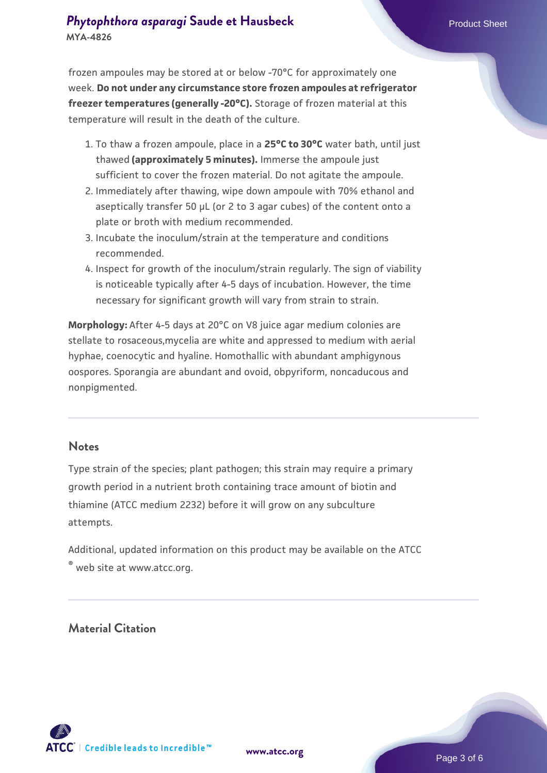# **[Phytophthora asparagi](https://www.atcc.org/products/mya-4826) [Saude et Hausbeck](https://www.atcc.org/products/mya-4826)** Phytophthora asparagi**c Sheet MYA-4826**

frozen ampoules may be stored at or below -70°C for approximately one week. **Do not under any circumstance store frozen ampoules at refrigerator freezer temperatures (generally -20°C).** Storage of frozen material at this temperature will result in the death of the culture.

- 1. To thaw a frozen ampoule, place in a **25°C to 30°C** water bath, until just thawed **(approximately 5 minutes).** Immerse the ampoule just sufficient to cover the frozen material. Do not agitate the ampoule.
- 2. Immediately after thawing, wipe down ampoule with 70% ethanol and aseptically transfer 50 µL (or 2 to 3 agar cubes) of the content onto a plate or broth with medium recommended.
- 3. Incubate the inoculum/strain at the temperature and conditions recommended.
- 4. Inspect for growth of the inoculum/strain regularly. The sign of viability is noticeable typically after 4-5 days of incubation. However, the time necessary for significant growth will vary from strain to strain.

**Morphology:** After 4-5 days at 20°C on V8 juice agar medium colonies are stellate to rosaceous,mycelia are white and appressed to medium with aerial hyphae, coenocytic and hyaline. Homothallic with abundant amphigynous oospores. Sporangia are abundant and ovoid, obpyriform, noncaducous and nonpigmented.

#### **Notes**

Type strain of the species; plant pathogen; this strain may require a primary growth period in a nutrient broth containing trace amount of biotin and thiamine (ATCC medium 2232) before it will grow on any subculture attempts.

Additional, updated information on this product may be available on the ATCC ® web site at www.atcc.org.

# **Material Citation**

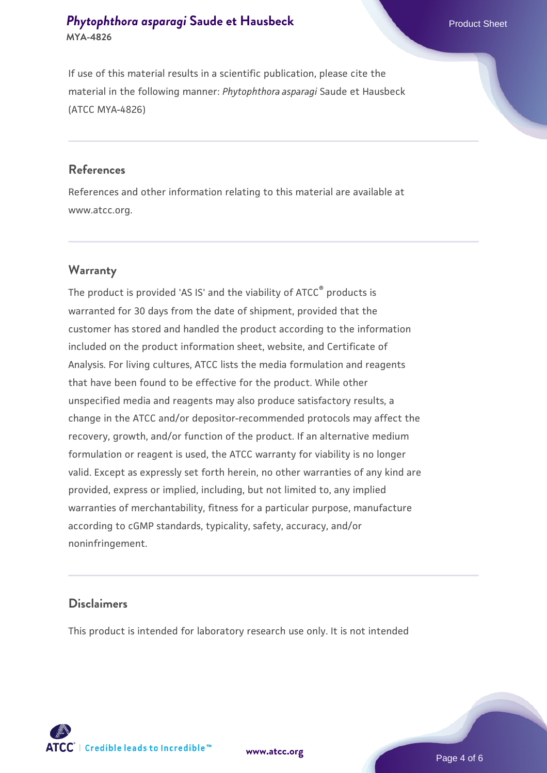# **[Phytophthora asparagi](https://www.atcc.org/products/mya-4826) [Saude et Hausbeck](https://www.atcc.org/products/mya-4826)** Phytophthora asparagi**c Sheet MYA-4826**

If use of this material results in a scientific publication, please cite the material in the following manner: *Phytophthora asparagi* Saude et Hausbeck (ATCC MYA-4826)

#### **References**

References and other information relating to this material are available at www.atcc.org.

#### **Warranty**

The product is provided 'AS IS' and the viability of ATCC® products is warranted for 30 days from the date of shipment, provided that the customer has stored and handled the product according to the information included on the product information sheet, website, and Certificate of Analysis. For living cultures, ATCC lists the media formulation and reagents that have been found to be effective for the product. While other unspecified media and reagents may also produce satisfactory results, a change in the ATCC and/or depositor-recommended protocols may affect the recovery, growth, and/or function of the product. If an alternative medium formulation or reagent is used, the ATCC warranty for viability is no longer valid. Except as expressly set forth herein, no other warranties of any kind are provided, express or implied, including, but not limited to, any implied warranties of merchantability, fitness for a particular purpose, manufacture according to cGMP standards, typicality, safety, accuracy, and/or noninfringement.

## **Disclaimers**

This product is intended for laboratory research use only. It is not intended



**[www.atcc.org](http://www.atcc.org)**

Page 4 of 6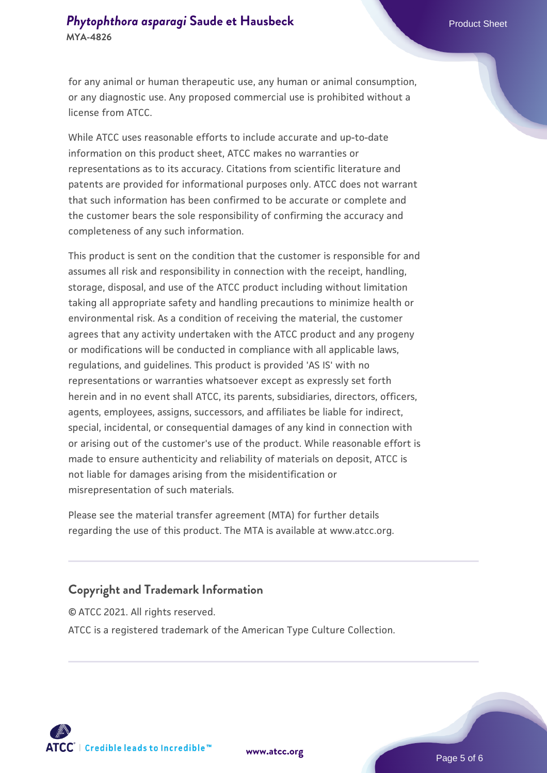#### **[Phytophthora asparagi](https://www.atcc.org/products/mya-4826) [Saude et Hausbeck](https://www.atcc.org/products/mya-4826)** Phytophthora asparagi**c Sheet MYA-4826**

for any animal or human therapeutic use, any human or animal consumption, or any diagnostic use. Any proposed commercial use is prohibited without a license from ATCC.

While ATCC uses reasonable efforts to include accurate and up-to-date information on this product sheet, ATCC makes no warranties or representations as to its accuracy. Citations from scientific literature and patents are provided for informational purposes only. ATCC does not warrant that such information has been confirmed to be accurate or complete and the customer bears the sole responsibility of confirming the accuracy and completeness of any such information.

This product is sent on the condition that the customer is responsible for and assumes all risk and responsibility in connection with the receipt, handling, storage, disposal, and use of the ATCC product including without limitation taking all appropriate safety and handling precautions to minimize health or environmental risk. As a condition of receiving the material, the customer agrees that any activity undertaken with the ATCC product and any progeny or modifications will be conducted in compliance with all applicable laws, regulations, and guidelines. This product is provided 'AS IS' with no representations or warranties whatsoever except as expressly set forth herein and in no event shall ATCC, its parents, subsidiaries, directors, officers, agents, employees, assigns, successors, and affiliates be liable for indirect, special, incidental, or consequential damages of any kind in connection with or arising out of the customer's use of the product. While reasonable effort is made to ensure authenticity and reliability of materials on deposit, ATCC is not liable for damages arising from the misidentification or misrepresentation of such materials.

Please see the material transfer agreement (MTA) for further details regarding the use of this product. The MTA is available at www.atcc.org.

# **Copyright and Trademark Information**

© ATCC 2021. All rights reserved. ATCC is a registered trademark of the American Type Culture Collection.



**[www.atcc.org](http://www.atcc.org)**

Page 5 of 6